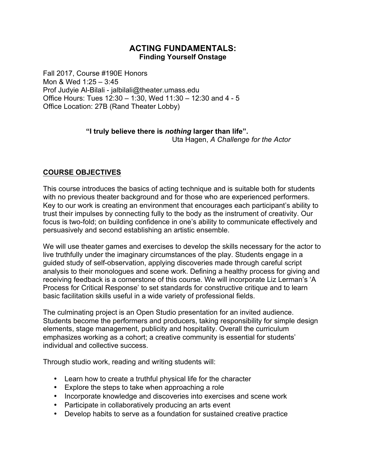# **ACTING FUNDAMENTALS: Finding Yourself Onstage**

Fall 2017, Course #190E Honors Mon & Wed 1:25 – 3:45 Prof Judyie Al-Bilali - jalbilali@theater.umass.edu Office Hours: Tues 12:30 – 1:30, Wed 11:30 – 12:30 and 4 - 5 Office Location: 27B (Rand Theater Lobby)

# **"I truly believe there is** *nothing* **larger than life".**

Uta Hagen, *A Challenge for the Actor*

# **COURSE OBJECTIVES**

This course introduces the basics of acting technique and is suitable both for students with no previous theater background and for those who are experienced performers. Key to our work is creating an environment that encourages each participant's ability to trust their impulses by connecting fully to the body as the instrument of creativity. Our focus is two-fold; on building confidence in one's ability to communicate effectively and persuasively and second establishing an artistic ensemble.

We will use theater games and exercises to develop the skills necessary for the actor to live truthfully under the imaginary circumstances of the play. Students engage in a guided study of self-observation, applying discoveries made through careful script analysis to their monologues and scene work. Defining a healthy process for giving and receiving feedback is a cornerstone of this course. We will incorporate Liz Lerman's 'A Process for Critical Response' to set standards for constructive critique and to learn basic facilitation skills useful in a wide variety of professional fields.

The culminating project is an Open Studio presentation for an invited audience. Students become the performers and producers, taking responsibility for simple design elements, stage management, publicity and hospitality. Overall the curriculum emphasizes working as a cohort; a creative community is essential for students' individual and collective success.

Through studio work, reading and writing students will:

- Learn how to create a truthful physical life for the character
- Explore the steps to take when approaching a role
- Incorporate knowledge and discoveries into exercises and scene work
- Participate in collaboratively producing an arts event
- Develop habits to serve as a foundation for sustained creative practice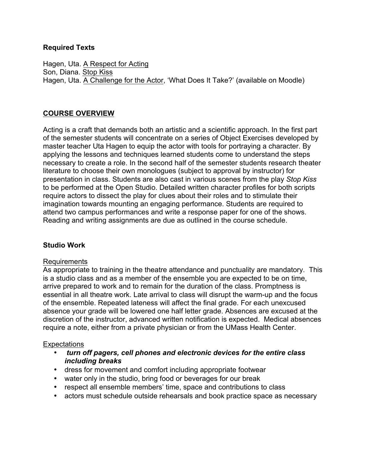## **Required Texts**

Hagen, Uta. A Respect for Acting Son, Diana. Stop Kiss Hagen, Uta. A Challenge for the Actor, 'What Does It Take?' (available on Moodle)

# **COURSE OVERVIEW**

Acting is a craft that demands both an artistic and a scientific approach. In the first part of the semester students will concentrate on a series of Object Exercises developed by master teacher Uta Hagen to equip the actor with tools for portraying a character. By applying the lessons and techniques learned students come to understand the steps necessary to create a role. In the second half of the semester students research theater literature to choose their own monologues (subject to approval by instructor) for presentation in class. Students are also cast in various scenes from the play *Stop Kiss* to be performed at the Open Studio. Detailed written character profiles for both scripts require actors to dissect the play for clues about their roles and to stimulate their imagination towards mounting an engaging performance. Students are required to attend two campus performances and write a response paper for one of the shows. Reading and writing assignments are due as outlined in the course schedule.

## **Studio Work**

## Requirements

As appropriate to training in the theatre attendance and punctuality are mandatory. This is a studio class and as a member of the ensemble you are expected to be on time, arrive prepared to work and to remain for the duration of the class. Promptness is essential in all theatre work. Late arrival to class will disrupt the warm-up and the focus of the ensemble. Repeated lateness will affect the final grade. For each unexcused absence your grade will be lowered one half letter grade. Absences are excused at the discretion of the instructor, advanced written notification is expected. Medical absences require a note, either from a private physician or from the UMass Health Center.

## **Expectations**

- *turn off pagers, cell phones and electronic devices for the entire class including breaks*
- dress for movement and comfort including appropriate footwear
- water only in the studio, bring food or beverages for our break
- respect all ensemble members' time, space and contributions to class
- actors must schedule outside rehearsals and book practice space as necessary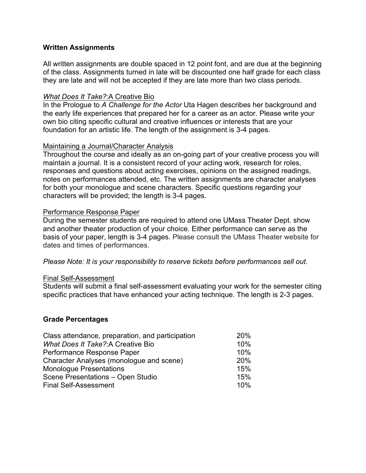## **Written Assignments**

All written assignments are double spaced in 12 point font, and are due at the beginning of the class. Assignments turned in late will be discounted one half grade for each class they are late and will not be accepted if they are late more than two class periods.

#### *What Does It Take?*:A Creative Bio

In the Prologue to *A Challenge for the Actor* Uta Hagen describes her background and the early life experiences that prepared her for a career as an actor. Please write your own bio citing specific cultural and creative influences or interests that are your foundation for an artistic life. The length of the assignment is 3-4 pages.

#### Maintaining a Journal/Character Analysis

Throughout the course and ideally as an on-going part of your creative process you will maintain a journal. It is a consistent record of your acting work, research for roles, responses and questions about acting exercises, opinions on the assigned readings, notes on performances attended, etc. The written assignments are character analyses for both your monologue and scene characters. Specific questions regarding your characters will be provided; the length is 3-4 pages.

#### Performance Response Paper

During the semester students are required to attend one UMass Theater Dept. show and another theater production of your choice. Either performance can serve as the basis of your paper, length is 3-4 pages. Please consult the UMass Theater website for dates and times of performances.

*Please Note: It is your responsibility to reserve tickets before performances sell out.*

#### Final Self-Assessment

Students will submit a final self-assessment evaluating your work for the semester citing specific practices that have enhanced your acting technique. The length is 2-3 pages.

#### **Grade Percentages**

| Class attendance, preparation, and participation | 20% |
|--------------------------------------------------|-----|
| What Does It Take?: A Creative Bio               | 10% |
| Performance Response Paper                       | 10% |
| Character Analyses (monologue and scene)         | 20% |
| <b>Monologue Presentations</b>                   | 15% |
| Scene Presentations - Open Studio                | 15% |
| <b>Final Self-Assessment</b>                     | 10% |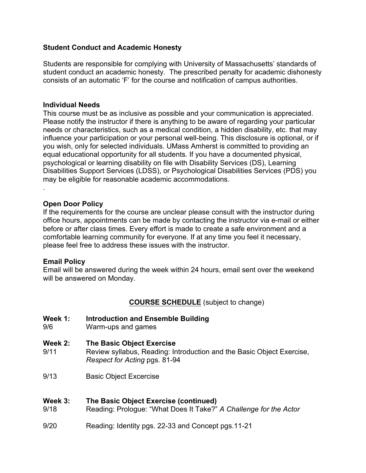## **Student Conduct and Academic Honesty**

Students are responsible for complying with University of Massachusetts' standards of student conduct an academic honesty. The prescribed penalty for academic dishonesty consists of an automatic 'F' for the course and notification of campus authorities.

## **Individual Needs**

This course must be as inclusive as possible and your communication is appreciated. Please notify the instructor if there is anything to be aware of regarding your particular needs or characteristics, such as a medical condition, a hidden disability, etc. that may influence your participation or your personal well-being. This disclosure is optional, or if you wish, only for selected individuals. UMass Amherst is committed to providing an equal educational opportunity for all students. If you have a documented physical, psychological or learning disability on file with Disability Services (DS), Learning Disabilities Support Services (LDSS), or Psychological Disabilities Services (PDS) you may be eligible for reasonable academic accommodations. .

## **Open Door Policy**

If the requirements for the course are unclear please consult with the instructor during office hours, appointments can be made by contacting the instructor via e-mail or either before or after class times. Every effort is made to create a safe environment and a comfortable learning community for everyone. If at any time you feel it necessary, please feel free to address these issues with the instructor.

## **Email Policy**

Email will be answered during the week within 24 hours, email sent over the weekend will be answered on Monday.

# **COURSE SCHEDULE** (subject to change)

- **Week 1: Introduction and Ensemble Building**
- 9/6 Warm-ups and games
- **Week 2: The Basic Object Exercise**
- 9/11 Review syllabus, Reading: Introduction and the Basic Object Exercise, *Respect for Acting* pgs. 81-94
- 9/13 Basic Object Excercise

## **Week 3: The Basic Object Exercise (continued)**

- 9/18 Reading: Prologue: "What Does It Take?" *A Challenge for the Actor*
- 9/20 Reading: Identity pgs. 22-33 and Concept pgs.11-21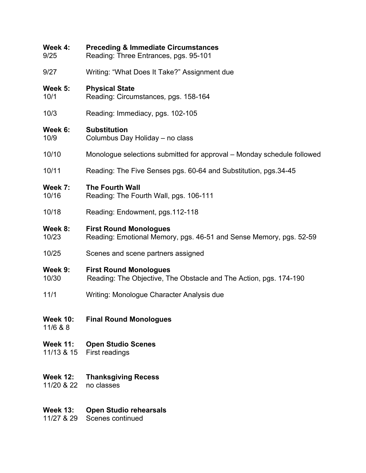| Week 4:                     | <b>Preceding &amp; Immediate Circumstances</b>                         |  |
|-----------------------------|------------------------------------------------------------------------|--|
| 9/25                        | Reading: Three Entrances, pgs. 95-101                                  |  |
| 9/27                        | Writing: "What Does It Take?" Assignment due                           |  |
| Week 5:                     | <b>Physical State</b>                                                  |  |
| 10/1                        | Reading: Circumstances, pgs. 158-164                                   |  |
| 10/3                        | Reading: Immediacy, pgs. 102-105                                       |  |
| Week 6:                     | <b>Substitution</b>                                                    |  |
| 10/9                        | Columbus Day Holiday - no class                                        |  |
| 10/10                       | Monologue selections submitted for approval – Monday schedule followed |  |
| 10/11                       | Reading: The Five Senses pgs. 60-64 and Substitution, pgs.34-45        |  |
| Week 7:                     | <b>The Fourth Wall</b>                                                 |  |
| 10/16                       | Reading: The Fourth Wall, pgs. 106-111                                 |  |
| 10/18                       | Reading: Endowment, pgs.112-118                                        |  |
| Week 8:                     | <b>First Round Monologues</b>                                          |  |
| 10/23                       | Reading: Emotional Memory, pgs. 46-51 and Sense Memory, pgs. 52-59     |  |
| 10/25                       | Scenes and scene partners assigned                                     |  |
| Week 9:                     | <b>First Round Monologues</b>                                          |  |
| 10/30                       | Reading: The Objective, The Obstacle and The Action, pgs. 174-190      |  |
| 11/1                        | Writing: Monologue Character Analysis due                              |  |
| <b>Week 10:</b><br>11/6 & 8 | <b>Final Round Monologues</b>                                          |  |
| <b>Week 11:</b>             | <b>Open Studio Scenes</b>                                              |  |
| 11/13 & 15                  | First readings                                                         |  |
| <b>Week 12:</b>             | <b>Thanksgiving Recess</b>                                             |  |
| 11/20 & 22                  | no classes                                                             |  |
| <b>Week 13:</b>             | <b>Open Studio rehearsals</b>                                          |  |
| 11/27 & 29                  | Scenes continued                                                       |  |